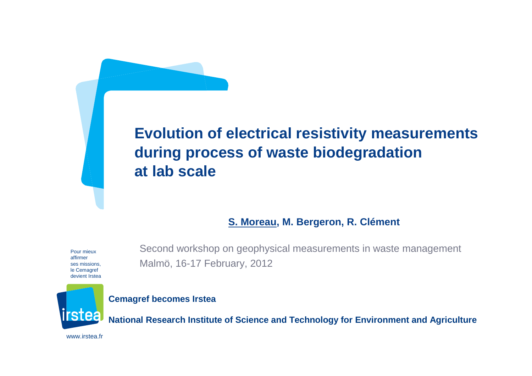# **Evolution of electrical resistivity measurements during process of waste biodegradationat lab scale**

#### **S. Moreau, M. Bergeron, R. Clément**

Pour mieux affirmer ses missions, le Cemagref devient Irstea

Second workshop on geophysical measurements in waste management Malmö, 16-17 February, 2012



**Cemagref becomes Irstea**

**National Research Institute of Science and Technology for Environment and Agriculture**

www.irstea.fr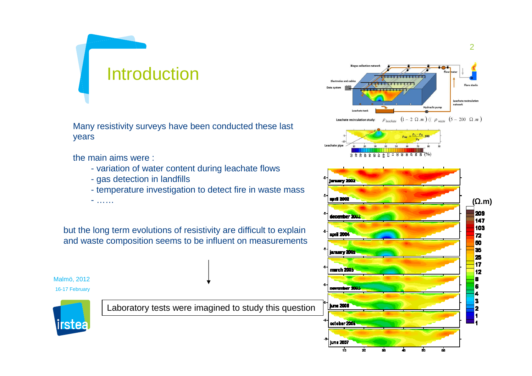# **Introduction**

Many resistivity surveys have been conducted these last years

the main aims were :

- ……

- variation of water content during leachate flows
- gas detection in landfills
- temperature investigation to detect fire in waste mass

but the long term evolutions of resistivity are difficult to explainand waste composition seems to be influent on measurements

Malmö, 201216-17 February

irstea

Laboratory tests were imagined to study this question

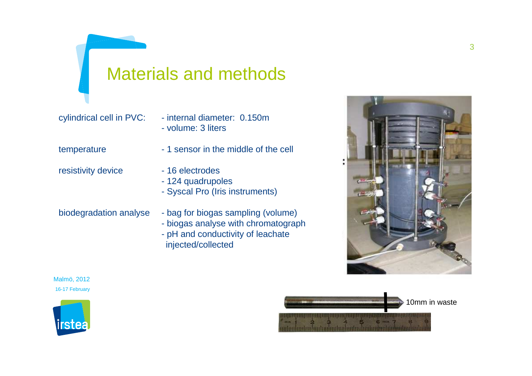cylindrical cell in PVC: - internal diameter: 0.150m - volume: 3 liters

temperature - 1 sensor in the middle of the cell

- resistivity device 16 electrodes
- - 124 quadrupoles
	- Syscal Pro (Iris instruments)

- biodegradation analyse bag for biogas sampling (volume)
	- biogas analyse with chromatograph
	- pH and conductivity of leachateinjected/collected







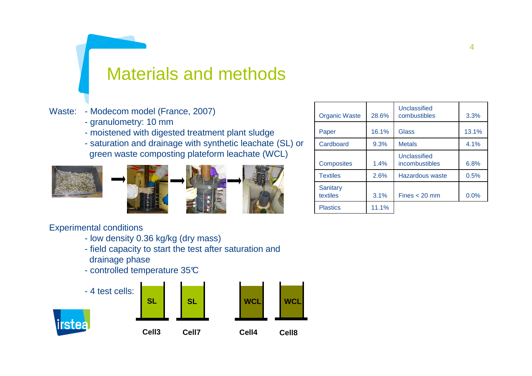#### Waste: - Modecom model (France, 2007)

- granulometry: 10 mm
- moistened with digested treatment plant sludge
- saturation and drainage with synthetic leachate (SL) or green waste composting plateform leachate (WCL)







| <b>Organic Waste</b> | 28.6% | Unclassified<br>combustibles   | 3.3%  |
|----------------------|-------|--------------------------------|-------|
| Paper                | 16.1% | Glass                          | 13.1% |
| Cardboard            | 9.3%  | <b>Metals</b>                  | 4.1%  |
| <b>Composites</b>    | 1.4%  | Unclassified<br>incombustibles | 6.8%  |
| <b>Textiles</b>      | 2.6%  | Hazardous waste                | 0.5%  |
| Sanitary<br>textiles | 3.1%  | $Fines < 20$ mm                | 0.0%  |
| <b>Plastics</b>      | 11.1% |                                |       |

Experimental conditions

- low density 0.36 kg/kg (dry mass)
- field capacity to start the test after saturation and drainage phase
- controlled temperature 35 $\mathbb C$

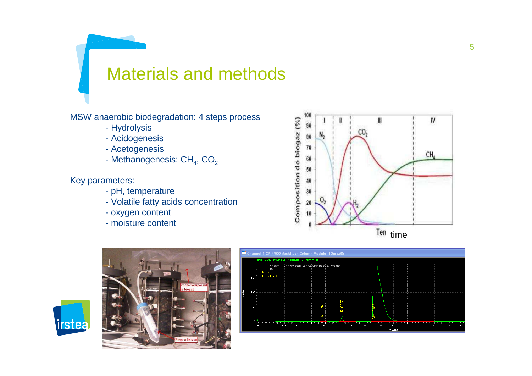MSW anaerobic biodegradation: 4 steps process

- Hydrolysis
- Acidogenesis
- Acetogenesis
- Methanogenesis: CH $_{\rm 4}$ , CO $_{\rm 2}$

Key parameters:

*irstea* 

- pH, temperature
- Volatile fatty acids concentration
- oxygen content
- moisture content





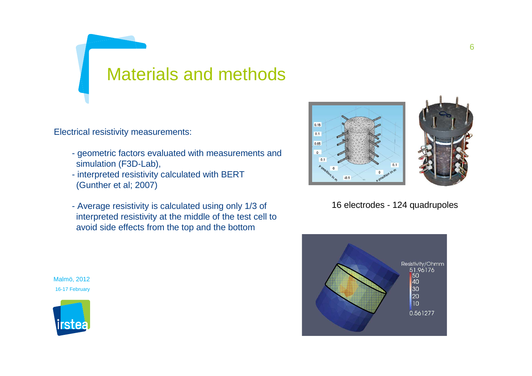Electrical resistivity measurements:

- geometric factors evaluated with measurements and simulation (F3D-Lab),
- interpreted resistivity calculated with BERT(Gunther et al; 2007)
- Average resistivity is calculated using only 1/3 of interpreted resistivity at the middle of the test cell to avoid side effects from the top and the bottom



16 electrodes - 124 quadrupoles



Malmö, 201216-17 February

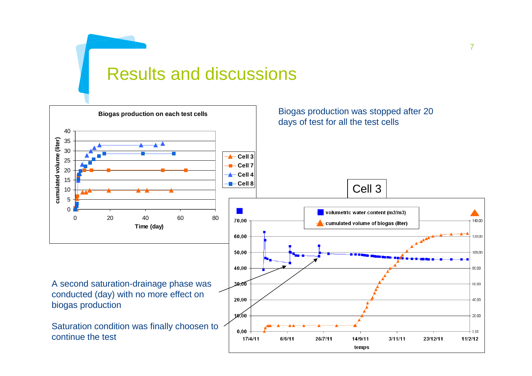# Results and discussions

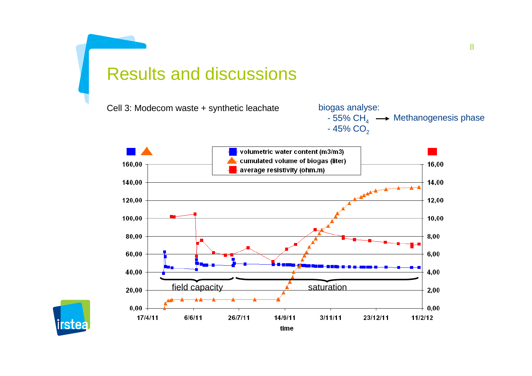### Results and discussions

Cell 3: Modecom waste + synthetic leachate





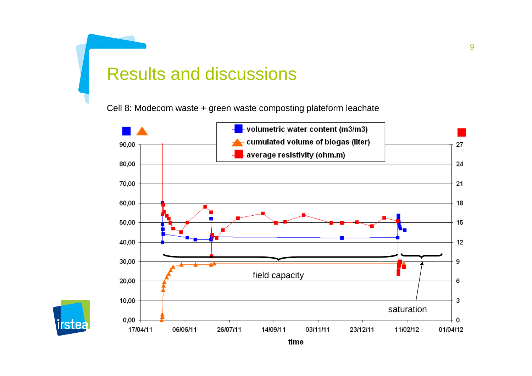# Results and discussions

Cell 8: Modecom waste + green waste composting plateform leachate



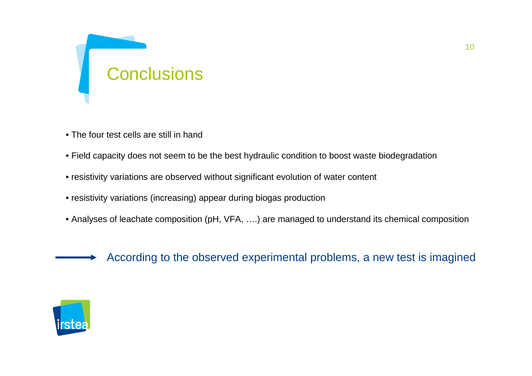

- The four test cells are still in hand
- Field capacity does not seem to be the best hydraulic condition to boost waste biodegradation
- resistivity variations are observed without significant evolution of water content
- resistivity variations (increasing) appear during biogas production
- Analyses of leachate composition (pH, VFA, ….) are managed to understand its chemical composition